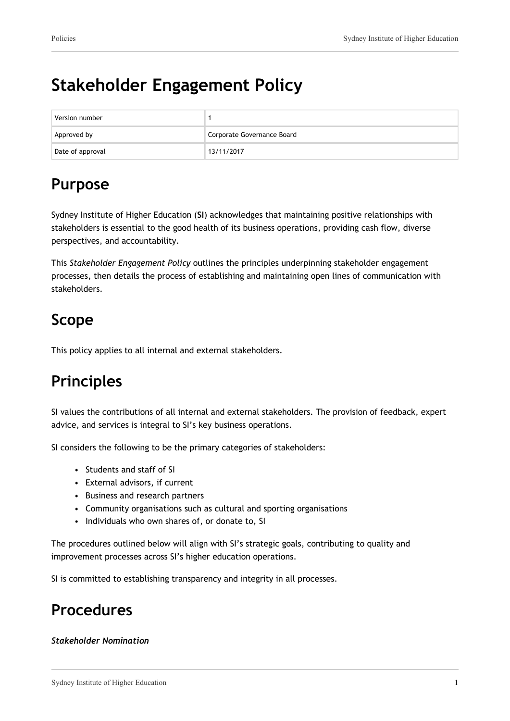# **Stakeholder Engagement Policy**

| Version number   |                            |
|------------------|----------------------------|
| Approved by      | Corporate Governance Board |
| Date of approval | 13/11/2017                 |

## **Purpose**

Sydney Institute of Higher Education (**SI**) acknowledges that maintaining positive relationships with stakeholders is essential to the good health of its business operations, providing cash flow, diverse perspectives, and accountability.

This *Stakeholder Engagement Policy* outlines the principles underpinning stakeholder engagement processes, then details the process of establishing and maintaining open lines of communication with stakeholders.

## **Scope**

This policy applies to all internal and external stakeholders.

## **Principles**

SI values the contributions of all internal and external stakeholders. The provision of feedback, expert advice, and services is integral to SI's key business operations.

SI considers the following to be the primary categories of stakeholders:

- Students and staff of SI
- External advisors, if current
- Business and research partners
- Community organisations such as cultural and sporting organisations
- Individuals who own shares of, or donate to, SI

The procedures outlined below will align with SI's strategic goals, contributing to quality and improvement processes across SI's higher education operations.

SI is committed to establishing transparency and integrity in all processes.

### **Procedures**

#### *Stakeholder Nomination*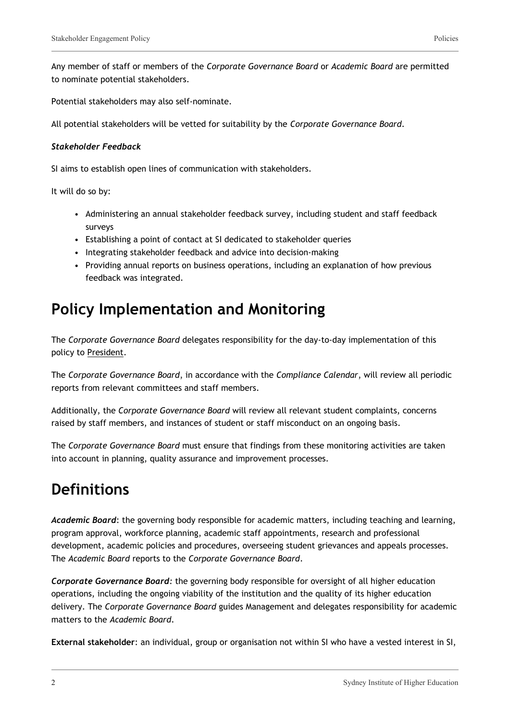Any member of staff or members of the *Corporate Governance Board* or *Academic Board* are permitted to nominate potential stakeholders.

Potential stakeholders may also self-nominate.

All potential stakeholders will be vetted for suitability by the *Corporate Governance Board*.

#### *Stakeholder Feedback*

SI aims to establish open lines of communication with stakeholders.

It will do so by:

- Administering an annual stakeholder feedback survey, including student and staff feedback surveys
- Establishing a point of contact at SI dedicated to stakeholder queries
- Integrating stakeholder feedback and advice into decision-making
- Providing annual reports on business operations, including an explanation of how previous feedback was integrated.

## **Policy Implementation and Monitoring**

The *Corporate Governance Board* delegates responsibility for the day-to-day implementation of this policy to President.

The *Corporate Governance Board*, in accordance with the *Compliance Calendar*, will review all periodic reports from relevant committees and staff members.

Additionally, the *Corporate Governance Board* will review all relevant student complaints, concerns raised by staff members, and instances of student or staff misconduct on an ongoing basis.

The *Corporate Governance Board* must ensure that findings from these monitoring activities are taken into account in planning, quality assurance and improvement processes.

### **Definitions**

*Academic Board*: the governing body responsible for academic matters, including teaching and learning, program approval, workforce planning, academic staff appointments, research and professional development, academic policies and procedures, overseeing student grievances and appeals processes. The *Academic Board* reports to the *Corporate Governance Board*.

*Corporate Governance Board:* the governing body responsible for oversight of all higher education operations, including the ongoing viability of the institution and the quality of its higher education delivery. The *Corporate Governance Board* guides Management and delegates responsibility for academic matters to the *Academic Board*.

**External stakeholder**: an individual, group or organisation not within SI who have a vested interest in SI,